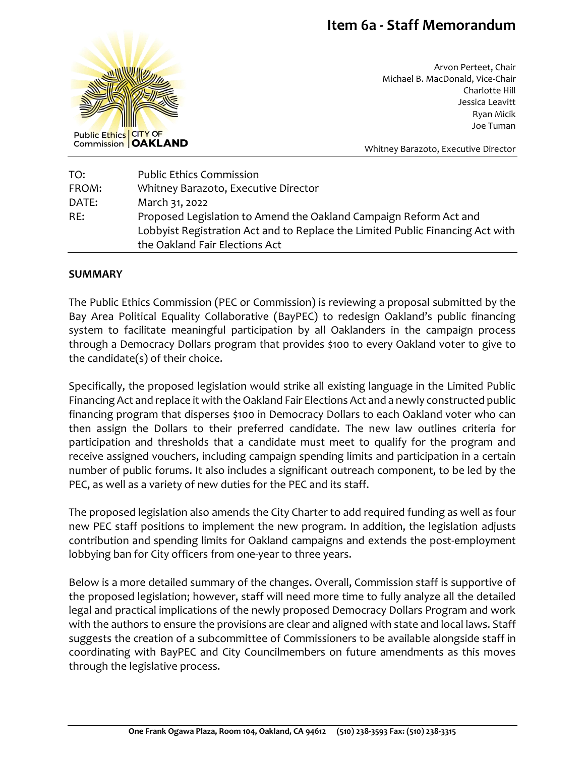# **Item 6a - Staff Memorandum**



Arvon Perteet, Chair Michael B. MacDonald, Vice-Chair Charlotte Hill Jessica Leavitt Ryan Micik Joe Tuman

Whitney Barazoto, Executive Director

| TO:   | <b>Public Ethics Commission</b>                                                |
|-------|--------------------------------------------------------------------------------|
| FROM: | Whitney Barazoto, Executive Director                                           |
| DATE: | March 31, 2022                                                                 |
| RE:   | Proposed Legislation to Amend the Oakland Campaign Reform Act and              |
|       | Lobbyist Registration Act and to Replace the Limited Public Financing Act with |
|       | the Oakland Fair Elections Act                                                 |

#### **SUMMARY**

The Public Ethics Commission (PEC or Commission) is reviewing a proposal submitted by the Bay Area Political Equality Collaborative (BayPEC) to redesign Oakland's public financing system to facilitate meaningful participation by all Oaklanders in the campaign process through a Democracy Dollars program that provides \$100 to every Oakland voter to give to the candidate(s) of their choice.

Specifically, the proposed legislation would strike all existing language in the Limited Public Financing Act and replace it with the Oakland Fair Elections Act and a newly constructed public financing program that disperses \$100 in Democracy Dollars to each Oakland voter who can then assign the Dollars to their preferred candidate. The new law outlines criteria for participation and thresholds that a candidate must meet to qualify for the program and receive assigned vouchers, including campaign spending limits and participation in a certain number of public forums. It also includes a significant outreach component, to be led by the PEC, as well as a variety of new duties for the PEC and its staff.

The proposed legislation also amends the City Charter to add required funding as well as four new PEC staff positions to implement the new program. In addition, the legislation adjusts contribution and spending limits for Oakland campaigns and extends the post-employment lobbying ban for City officers from one-year to three years.

Below is a more detailed summary of the changes. Overall, Commission staff is supportive of the proposed legislation; however, staff will need more time to fully analyze all the detailed legal and practical implications of the newly proposed Democracy Dollars Program and work with the authors to ensure the provisions are clear and aligned with state and local laws. Staff suggests the creation of a subcommittee of Commissioners to be available alongside staff in coordinating with BayPEC and City Councilmembers on future amendments as this moves through the legislative process.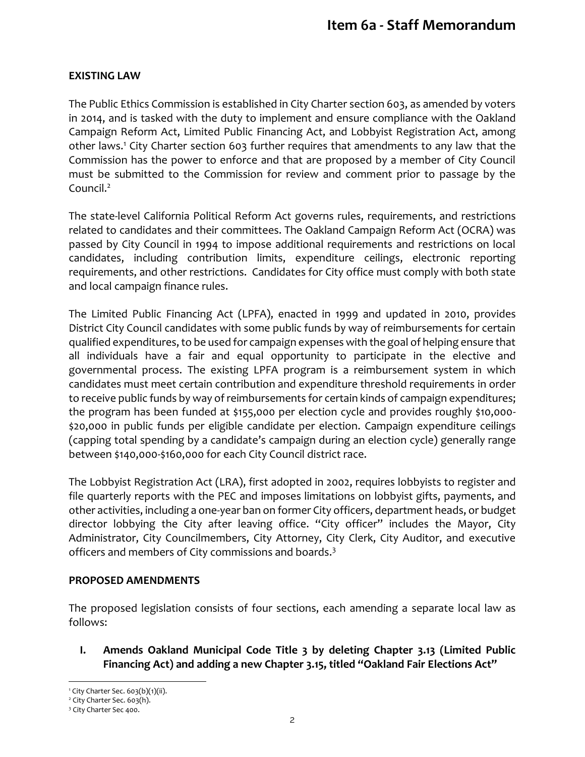### **EXISTING LAW**

The Public Ethics Commission is established in City Charter section 603, as amended by voters in 2014, and is tasked with the duty to implement and ensure compliance with the Oakland Campaign Reform Act, Limited Public Financing Act, and Lobbyist Registration Act, among other laws.<sup>1</sup> City Charter section 603 further requires that amendments to any law that the Commission has the power to enforce and that are proposed by a member of City Council must be submitted to the Commission for review and comment prior to passage by the Council.<sup>2</sup>

The state-level California Political Reform Act governs rules, requirements, and restrictions related to candidates and their committees. The Oakland Campaign Reform Act (OCRA) was passed by City Council in 1994 to impose additional requirements and restrictions on local candidates, including contribution limits, expenditure ceilings, electronic reporting requirements, and other restrictions. Candidates for City office must comply with both state and local campaign finance rules.

The Limited Public Financing Act (LPFA), enacted in 1999 and updated in 2010, provides District City Council candidates with some public funds by way of reimbursements for certain qualified expenditures, to be used for campaign expenses with the goal of helping ensure that all individuals have a fair and equal opportunity to participate in the elective and governmental process. The existing LPFA program is a reimbursement system in which candidates must meet certain contribution and expenditure threshold requirements in order to receive public funds by way of reimbursements for certain kinds of campaign expenditures; the program has been funded at \$155,000 per election cycle and provides roughly \$10,000- \$20,000 in public funds per eligible candidate per election. Campaign expenditure ceilings (capping total spending by a candidate's campaign during an election cycle) generally range between \$140,000-\$160,000 for each City Council district race.

The Lobbyist Registration Act (LRA), first adopted in 2002, requires lobbyists to register and file quarterly reports with the PEC and imposes limitations on lobbyist gifts, payments, and other activities, including a one-year ban on former City officers, department heads, or budget director lobbying the City after leaving office. "City officer" includes the Mayor, City Administrator, City Councilmembers, City Attorney, City Clerk, City Auditor, and executive officers and members of City commissions and boards.<sup>3</sup>

### **PROPOSED AMENDMENTS**

The proposed legislation consists of four sections, each amending a separate local law as follows:

**I. Amends Oakland Municipal Code Title 3 by deleting Chapter 3.13 (Limited Public Financing Act) and adding a new Chapter 3.15, titled "Oakland Fair Elections Act"**

l <sup>1</sup> City Charter Sec. 603(b)(1)(ii).

<sup>&</sup>lt;sup>2</sup> City Charter Sec. 603(h).

<sup>3</sup> City Charter Sec 400.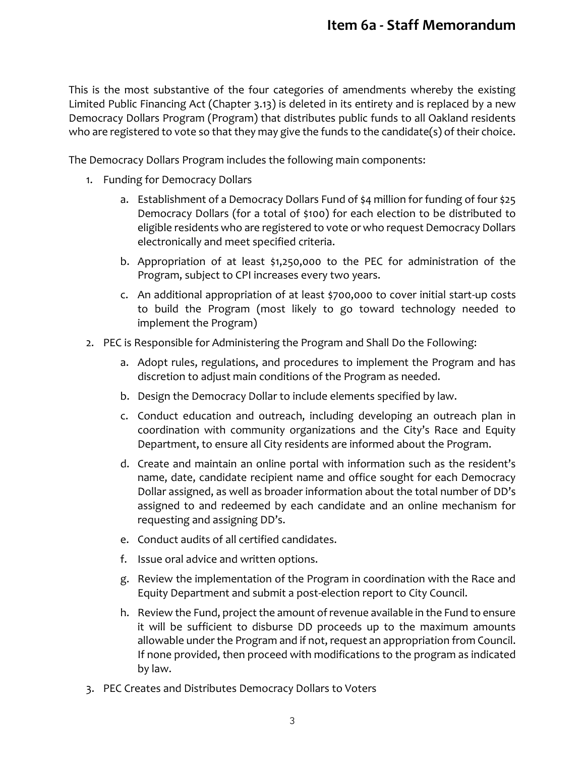This is the most substantive of the four categories of amendments whereby the existing Limited Public Financing Act (Chapter 3.13) is deleted in its entirety and is replaced by a new Democracy Dollars Program (Program) that distributes public funds to all Oakland residents who are registered to vote so that they may give the funds to the candidate(s) of their choice.

The Democracy Dollars Program includes the following main components:

- 1. Funding for Democracy Dollars
	- a. Establishment of a Democracy Dollars Fund of \$4 million for funding of four \$25 Democracy Dollars (for a total of \$100) for each election to be distributed to eligible residents who are registered to vote or who request Democracy Dollars electronically and meet specified criteria.
	- b. Appropriation of at least \$1,250,000 to the PEC for administration of the Program, subject to CPI increases every two years.
	- c. An additional appropriation of at least \$700,000 to cover initial start-up costs to build the Program (most likely to go toward technology needed to implement the Program)
- 2. PEC is Responsible for Administering the Program and Shall Do the Following:
	- a. Adopt rules, regulations, and procedures to implement the Program and has discretion to adjust main conditions of the Program as needed.
	- b. Design the Democracy Dollar to include elements specified by law.
	- c. Conduct education and outreach, including developing an outreach plan in coordination with community organizations and the City's Race and Equity Department, to ensure all City residents are informed about the Program.
	- d. Create and maintain an online portal with information such as the resident's name, date, candidate recipient name and office sought for each Democracy Dollar assigned, as well as broader information about the total number of DD's assigned to and redeemed by each candidate and an online mechanism for requesting and assigning DD's.
	- e. Conduct audits of all certified candidates.
	- f. Issue oral advice and written options.
	- g. Review the implementation of the Program in coordination with the Race and Equity Department and submit a post-election report to City Council.
	- h. Review the Fund, project the amount of revenue available in the Fund to ensure it will be sufficient to disburse DD proceeds up to the maximum amounts allowable under the Program and if not, request an appropriation from Council. If none provided, then proceed with modifications to the program as indicated by law.
- 3. PEC Creates and Distributes Democracy Dollars to Voters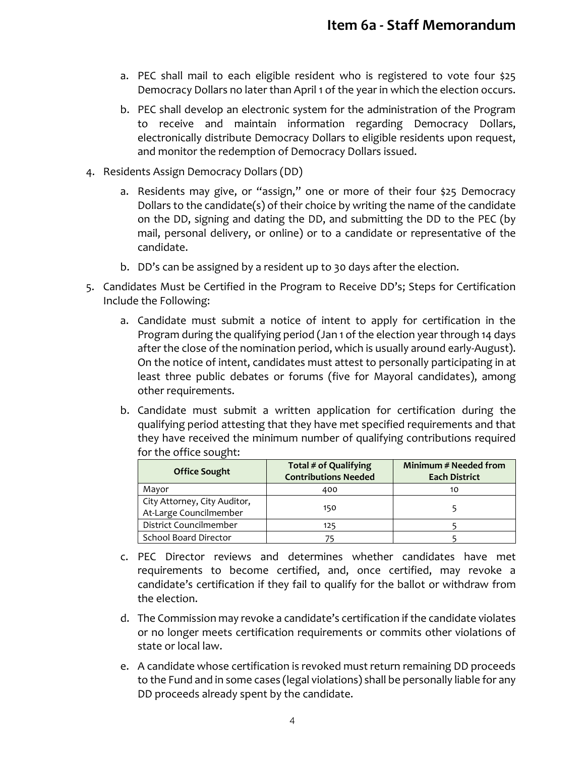- a. PEC shall mail to each eligible resident who is registered to vote four \$25 Democracy Dollars no later than April 1 of the year in which the election occurs.
- b. PEC shall develop an electronic system for the administration of the Program to receive and maintain information regarding Democracy Dollars, electronically distribute Democracy Dollars to eligible residents upon request, and monitor the redemption of Democracy Dollars issued.
- 4. Residents Assign Democracy Dollars (DD)
	- a. Residents may give, or "assign," one or more of their four \$25 Democracy Dollars to the candidate(s) of their choice by writing the name of the candidate on the DD, signing and dating the DD, and submitting the DD to the PEC (by mail, personal delivery, or online) or to a candidate or representative of the candidate.
	- b. DD's can be assigned by a resident up to 30 days after the election.
- 5. Candidates Must be Certified in the Program to Receive DD's; Steps for Certification Include the Following:
	- a. Candidate must submit a notice of intent to apply for certification in the Program during the qualifying period (Jan 1 of the election year through 14 days after the close of the nomination period, which is usually around early-August). On the notice of intent, candidates must attest to personally participating in at least three public debates or forums (five for Mayoral candidates), among other requirements.
	- b. Candidate must submit a written application for certification during the qualifying period attesting that they have met specified requirements and that they have received the minimum number of qualifying contributions required for the office sought:

| <b>Office Sought</b>                                   | Total # of Qualifying<br><b>Contributions Needed</b> | Minimum # Needed from<br><b>Each District</b> |
|--------------------------------------------------------|------------------------------------------------------|-----------------------------------------------|
| Mayor                                                  | 400                                                  | 10                                            |
| City Attorney, City Auditor,<br>At-Large Councilmember | 150                                                  |                                               |
| District Councilmember                                 | 125                                                  |                                               |
| School Board Director                                  |                                                      |                                               |

- c. PEC Director reviews and determines whether candidates have met requirements to become certified, and, once certified, may revoke a candidate's certification if they fail to qualify for the ballot or withdraw from the election.
- d. The Commission may revoke a candidate's certification if the candidate violates or no longer meets certification requirements or commits other violations of state or local law.
- e. A candidate whose certification is revoked must return remaining DD proceeds to the Fund and in some cases (legal violations) shall be personally liable for any DD proceeds already spent by the candidate.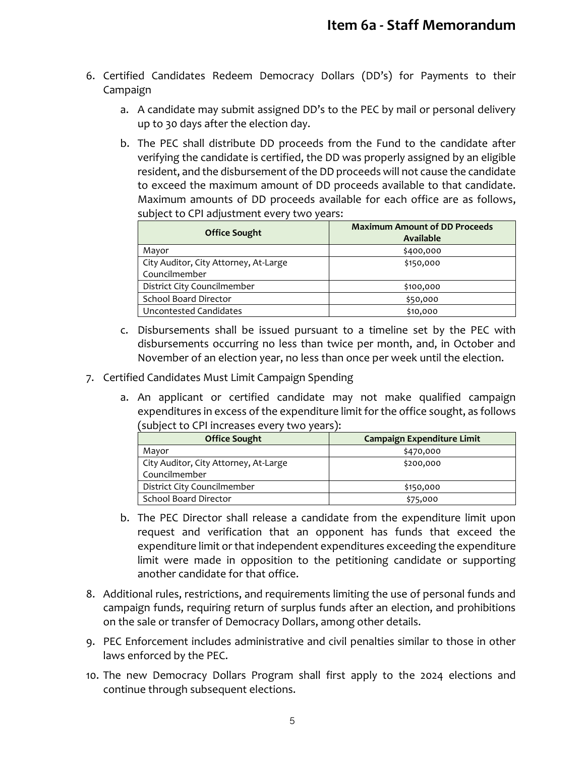- 6. Certified Candidates Redeem Democracy Dollars (DD's) for Payments to their Campaign
	- a. A candidate may submit assigned DD's to the PEC by mail or personal delivery up to 30 days after the election day.
	- b. The PEC shall distribute DD proceeds from the Fund to the candidate after verifying the candidate is certified, the DD was properly assigned by an eligible resident, and the disbursement of the DD proceeds will not cause the candidate to exceed the maximum amount of DD proceeds available to that candidate. Maximum amounts of DD proceeds available for each office are as follows, subject to CPI adjustment every two years:

| <b>Office Sought</b>                  | <b>Maximum Amount of DD Proceeds</b><br><b>Available</b> |
|---------------------------------------|----------------------------------------------------------|
| Mayor                                 | \$400,000                                                |
| City Auditor, City Attorney, At-Large | \$150,000                                                |
| Councilmember                         |                                                          |
| District City Councilmember           | \$100,000                                                |
| School Board Director                 | \$50,000                                                 |
| Uncontested Candidates                | \$10,000                                                 |

- c. Disbursements shall be issued pursuant to a timeline set by the PEC with disbursements occurring no less than twice per month, and, in October and November of an election year, no less than once per week until the election.
- 7. Certified Candidates Must Limit Campaign Spending
	- a. An applicant or certified candidate may not make qualified campaign expenditures in excess of the expenditure limit for the office sought, as follows (subject to CPI increases every two years):

| <b>Office Sought</b>                  | Campaign Expenditure Limit |
|---------------------------------------|----------------------------|
| Mayor                                 | \$470,000                  |
| City Auditor, City Attorney, At-Large | \$200,000                  |
| Councilmember                         |                            |
| District City Councilmember           | \$150,000                  |
| School Board Director                 | \$75,000                   |

- b. The PEC Director shall release a candidate from the expenditure limit upon request and verification that an opponent has funds that exceed the expenditure limit or that independent expenditures exceeding the expenditure limit were made in opposition to the petitioning candidate or supporting another candidate for that office.
- 8. Additional rules, restrictions, and requirements limiting the use of personal funds and campaign funds, requiring return of surplus funds after an election, and prohibitions on the sale or transfer of Democracy Dollars, among other details.
- 9. PEC Enforcement includes administrative and civil penalties similar to those in other laws enforced by the PEC.
- 10. The new Democracy Dollars Program shall first apply to the 2024 elections and continue through subsequent elections.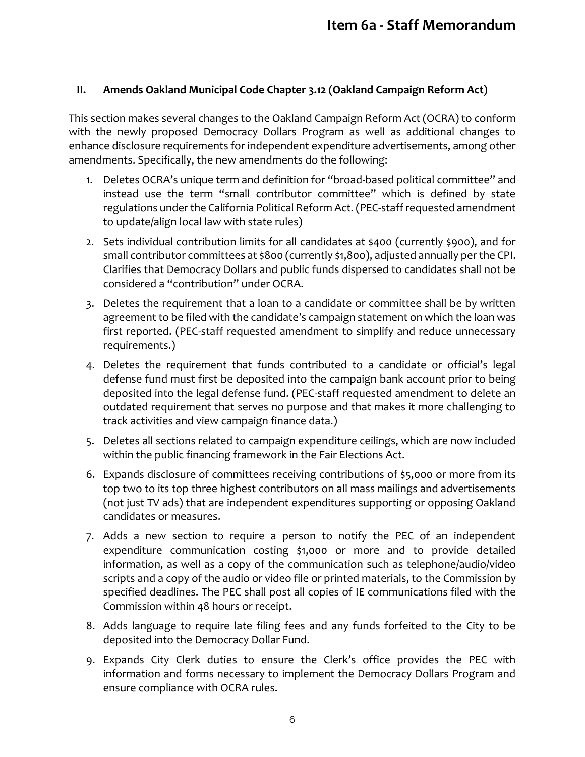### **II. Amends Oakland Municipal Code Chapter 3.12 (Oakland Campaign Reform Act)**

This section makes several changes to the Oakland Campaign Reform Act (OCRA) to conform with the newly proposed Democracy Dollars Program as well as additional changes to enhance disclosure requirements for independent expenditure advertisements, among other amendments. Specifically, the new amendments do the following:

- 1. Deletes OCRA's unique term and definition for "broad-based political committee" and instead use the term "small contributor committee" which is defined by state regulations under the California Political Reform Act. (PEC-staff requested amendment to update/align local law with state rules)
- 2. Sets individual contribution limits for all candidates at \$400 (currently \$900), and for small contributor committees at \$800 (currently \$1,800), adjusted annually per the CPI. Clarifies that Democracy Dollars and public funds dispersed to candidates shall not be considered a "contribution" under OCRA.
- 3. Deletes the requirement that a loan to a candidate or committee shall be by written agreement to be filed with the candidate's campaign statement on which the loan was first reported. (PEC-staff requested amendment to simplify and reduce unnecessary requirements.)
- 4. Deletes the requirement that funds contributed to a candidate or official's legal defense fund must first be deposited into the campaign bank account prior to being deposited into the legal defense fund. (PEC-staff requested amendment to delete an outdated requirement that serves no purpose and that makes it more challenging to track activities and view campaign finance data.)
- 5. Deletes all sections related to campaign expenditure ceilings, which are now included within the public financing framework in the Fair Elections Act.
- 6. Expands disclosure of committees receiving contributions of \$5,000 or more from its top two to its top three highest contributors on all mass mailings and advertisements (not just TV ads) that are independent expenditures supporting or opposing Oakland candidates or measures.
- 7. Adds a new section to require a person to notify the PEC of an independent expenditure communication costing \$1,000 or more and to provide detailed information, as well as a copy of the communication such as telephone/audio/video scripts and a copy of the audio or video file or printed materials, to the Commission by specified deadlines. The PEC shall post all copies of IE communications filed with the Commission within 48 hours or receipt.
- 8. Adds language to require late filing fees and any funds forfeited to the City to be deposited into the Democracy Dollar Fund.
- 9. Expands City Clerk duties to ensure the Clerk's office provides the PEC with information and forms necessary to implement the Democracy Dollars Program and ensure compliance with OCRA rules.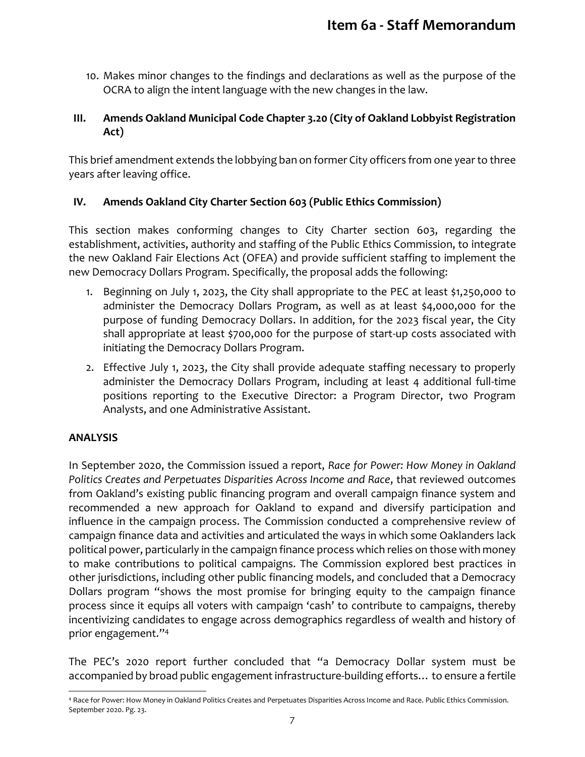10. Makes minor changes to the findings and declarations as well as the purpose of the OCRA to align the intent language with the new changes in the law.

### **III. Amends Oakland Municipal Code Chapter 3.20 (City of Oakland Lobbyist Registration Act)**

This brief amendment extends the lobbying ban on former City officers from one year to three years after leaving office.

### **IV. Amends Oakland City Charter Section 603 (Public Ethics Commission)**

This section makes conforming changes to City Charter section 603, regarding the establishment, activities, authority and staffing of the Public Ethics Commission, to integrate the new Oakland Fair Elections Act (OFEA) and provide sufficient staffing to implement the new Democracy Dollars Program. Specifically, the proposal adds the following:

- 1. Beginning on July 1, 2023, the City shall appropriate to the PEC at least \$1,250,000 to administer the Democracy Dollars Program, as well as at least \$4,000,000 for the purpose of funding Democracy Dollars. In addition, for the 2023 fiscal year, the City shall appropriate at least \$700,000 for the purpose of start-up costs associated with initiating the Democracy Dollars Program.
- 2. Effective July 1, 2023, the City shall provide adequate staffing necessary to properly administer the Democracy Dollars Program, including at least 4 additional full-time positions reporting to the Executive Director: a Program Director, two Program Analysts, and one Administrative Assistant.

### **ANALYSIS**

In September 2020, the Commission issued a report, *Race for Power: How Money in Oakland Politics Creates and Perpetuates Disparities Across Income and Race*, that reviewed outcomes from Oakland's existing public financing program and overall campaign finance system and recommended a new approach for Oakland to expand and diversify participation and influence in the campaign process. The Commission conducted a comprehensive review of campaign finance data and activities and articulated the ways in which some Oaklanders lack political power, particularly in the campaign finance process which relies on those with money to make contributions to political campaigns. The Commission explored best practices in other jurisdictions, including other public financing models, and concluded that a Democracy Dollars program "shows the most promise for bringing equity to the campaign finance process since it equips all voters with campaign 'cash' to contribute to campaigns, thereby incentivizing candidates to engage across demographics regardless of wealth and history of prior engagement."<sup>4</sup>

The PEC's 2020 report further concluded that "a Democracy Dollar system must be accompanied by broad public engagement infrastructure-building efforts… to ensure a fertile

 $\overline{a}$ <sup>4</sup> Race for Power: How Money in Oakland Politics Creates and Perpetuates Disparities Across Income and Race. Public Ethics Commission. September 2020. Pg. 23.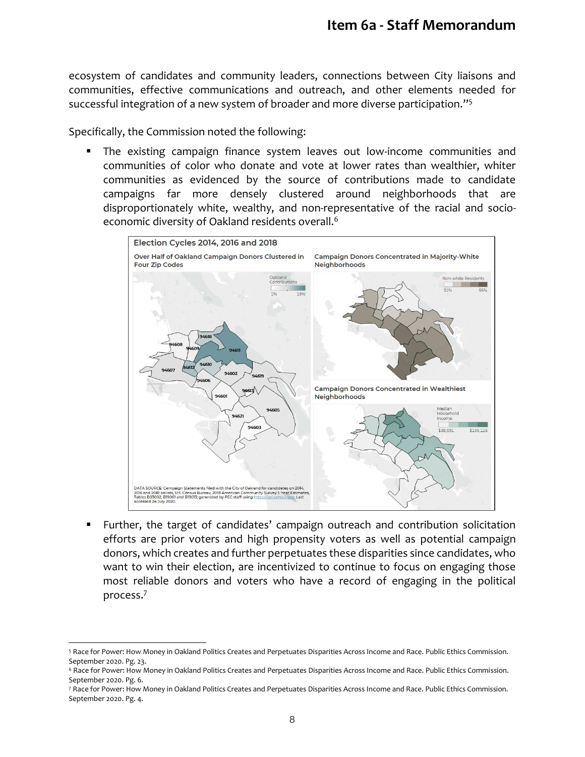ecosystem of candidates and community leaders, connections between City liaisons and communities, effective communications and outreach, and other elements needed for successful integration of a new system of broader and more diverse participation."<sup>5</sup>

Specifically, the Commission noted the following:

 $\overline{a}$ 

 The existing campaign finance system leaves out low-income communities and communities of color who donate and vote at lower rates than wealthier, whiter communities as evidenced by the source of contributions made to candidate campaigns far more densely clustered around neighborhoods that are disproportionately white, wealthy, and non-representative of the racial and socioeconomic diversity of Oakland residents overall.<sup>6</sup>



 Further, the target of candidates' campaign outreach and contribution solicitation efforts are prior voters and high propensity voters as well as potential campaign donors, which creates and further perpetuates these disparities since candidates, who want to win their election, are incentivized to continue to focus on engaging those most reliable donors and voters who have a record of engaging in the political process.<sup>7</sup>

<sup>5</sup> Race for Power: How Money in Oakland Politics Creates and Perpetuates Disparities Across Income and Race. Public Ethics Commission. September 2020. Pg. 23.

<sup>&</sup>lt;sup>6</sup> Race for Power: How Money in Oakland Politics Creates and Perpetuates Disparities Across Income and Race. Public Ethics Commission. September 2020. Pg. 6.

<sup>7</sup> Race for Power: How Money in Oakland Politics Creates and Perpetuates Disparities Across Income and Race. Public Ethics Commission. September 2020. Pg. 4.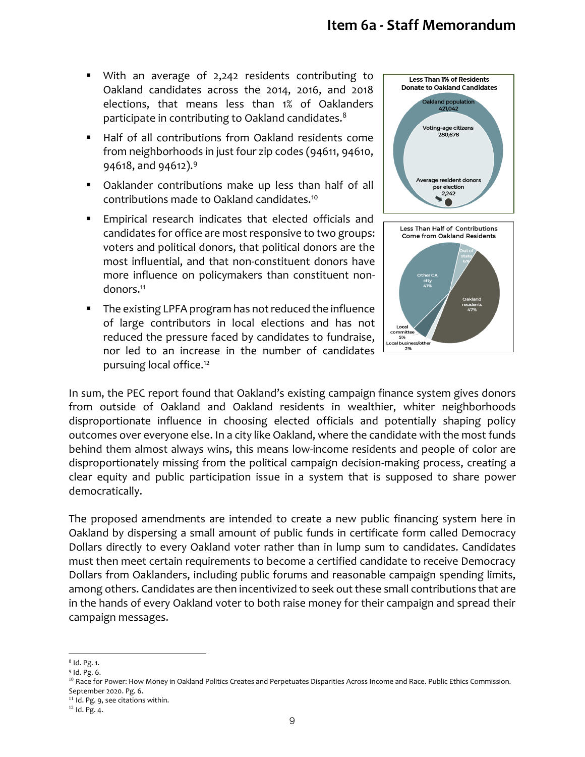## **Item 6a - Staff Memorandum**

- With an average of 2,242 residents contributing to Oakland candidates across the 2014, 2016, and 2018 elections, that means less than 1% of Oaklanders participate in contributing to Oakland candidates.<sup>8</sup>
- Half of all contributions from Oakland residents come from neighborhoods in just four zip codes (94611, 94610, 94618, and 94612).<sup>9</sup>
- Oaklander contributions make up less than half of all contributions made to Oakland candidates.<sup>10</sup>
- Empirical research indicates that elected officials and candidates for office are most responsive to two groups: voters and political donors, that political donors are the most influential, and that non-constituent donors have more influence on policymakers than constituent nondonors.<sup>11</sup>
- **The existing LPFA program has not reduced the influence** of large contributors in local elections and has not reduced the pressure faced by candidates to fundraise, nor led to an increase in the number of candidates pursuing local office.<sup>12</sup>





In sum, the PEC report found that Oakland's existing campaign finance system gives donors from outside of Oakland and Oakland residents in wealthier, whiter neighborhoods disproportionate influence in choosing elected officials and potentially shaping policy outcomes over everyone else. In a city like Oakland, where the candidate with the most funds behind them almost always wins, this means low-income residents and people of color are disproportionately missing from the political campaign decision-making process, creating a clear equity and public participation issue in a system that is supposed to share power democratically.

The proposed amendments are intended to create a new public financing system here in Oakland by dispersing a small amount of public funds in certificate form called Democracy Dollars directly to every Oakland voter rather than in lump sum to candidates. Candidates must then meet certain requirements to become a certified candidate to receive Democracy Dollars from Oaklanders, including public forums and reasonable campaign spending limits, among others. Candidates are then incentivized to seek out these small contributions that are in the hands of every Oakland voter to both raise money for their campaign and spread their campaign messages.

l 8 Id. Pg. 1.

<sup>9</sup> Id. Pg. 6.

<sup>&</sup>lt;sup>10</sup> Race for Power: How Money in Oakland Politics Creates and Perpetuates Disparities Across Income and Race. Public Ethics Commission. September 2020. Pg. 6.

 $11$  Id. Pg. 9, see citations within.

 $12$  Id. Pg. 4.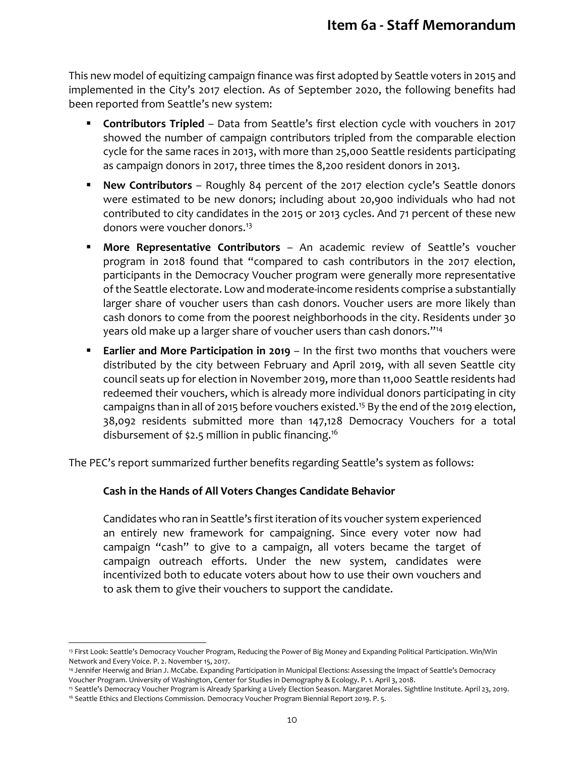This new model of equitizing campaign finance was first adopted by Seattle voters in 2015 and implemented in the City's 2017 election. As of September 2020, the following benefits had been reported from Seattle's new system:

- **Contributors Tripled** Data from Seattle's first election cycle with vouchers in 2017 showed the number of campaign contributors tripled from the comparable election cycle for the same races in 2013, with more than 25,000 Seattle residents participating as campaign donors in 2017, three times the 8,200 resident donors in 2013.
- **New Contributors** Roughly 84 percent of the 2017 election cycle's Seattle donors were estimated to be new donors; including about 20,900 individuals who had not contributed to city candidates in the 2015 or 2013 cycles. And 71 percent of these new donors were voucher donors.<sup>13</sup>
- **More Representative Contributors** An academic review of Seattle's voucher program in 2018 found that "compared to cash contributors in the 2017 election, participants in the Democracy Voucher program were generally more representative of the Seattle electorate. Low and moderate-income residents comprise a substantially larger share of voucher users than cash donors. Voucher users are more likely than cash donors to come from the poorest neighborhoods in the city. Residents under 30 years old make up a larger share of voucher users than cash donors."<sup>14</sup>
- **Earlier and More Participation in 2019** In the first two months that vouchers were distributed by the city between February and April 2019, with all seven Seattle city council seats up for election in November 2019, more than 11,000 Seattle residents had redeemed their vouchers, which is already more individual donors participating in city campaigns than in all of 2015 before vouchers existed.<sup>15</sup> By the end of the 2019 election, 38,092 residents submitted more than 147,128 Democracy Vouchers for a total disbursement of \$2.5 million in public financing.<sup>16</sup>

The PEC's report summarized further benefits regarding Seattle's system as follows:

### **Cash in the Hands of All Voters Changes Candidate Behavior**

 $\overline{a}$ 

Candidates who ran in Seattle's first iteration of its voucher system experienced an entirely new framework for campaigning. Since every voter now had campaign "cash" to give to a campaign, all voters became the target of campaign outreach efforts. Under the new system, candidates were incentivized both to educate voters about how to use their own vouchers and to ask them to give their vouchers to support the candidate.

<sup>13</sup> First Look: Seattle's Democracy Voucher Program, Reducing the Power of Big Money and Expanding Political Participation. Win/Win Network and Every Voice. P. 2. November 15, 2017.

<sup>14</sup> Jennifer Heerwig and Brian J. McCabe. Expanding Participation in Municipal Elections: Assessing the Impact of Seattle's Democracy Voucher Program. University of Washington, Center for Studies in Demography & Ecology. P. 1. April 3, 2018.

<sup>15</sup> Seattle's Democracy Voucher Program is Already Sparking a Lively Election Season. Margaret Morales. Sightline Institute. April 23, 2019. <sup>16</sup> Seattle Ethics and Elections Commission. Democracy Voucher Program Biennial Report 2019. P. 5.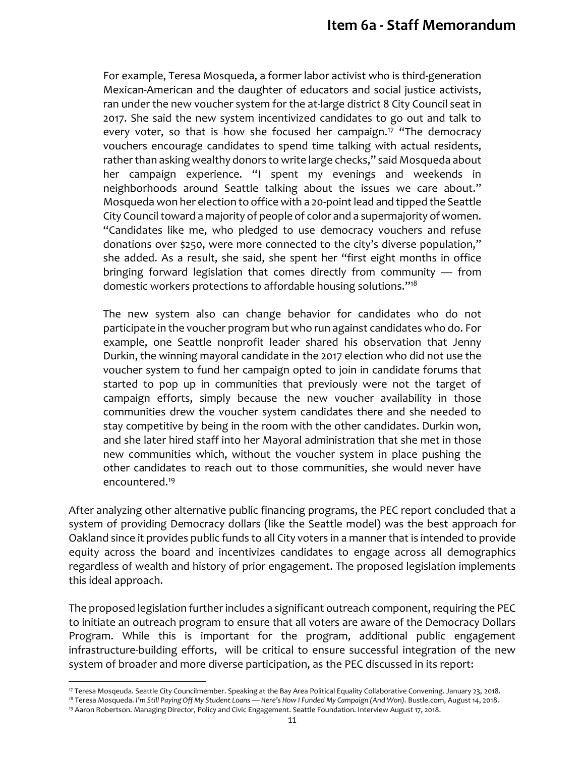For example, Teresa Mosqueda, a former labor activist who is third-generation Mexican-American and the daughter of educators and social justice activists, ran under the new voucher system for the at-large district 8 City Council seat in 2017. She said the new system incentivized candidates to go out and talk to every voter, so that is how she focused her campaign.<sup>17</sup> "The democracy vouchers encourage candidates to spend time talking with actual residents, rather than asking wealthy donors to write large checks," said Mosqueda about her campaign experience. "I spent my evenings and weekends in neighborhoods around Seattle talking about the issues we care about." Mosqueda won her election to office with a 20-point lead and tipped the Seattle City Council toward a majority of people of color and a supermajority of women. "Candidates like me, who pledged to use democracy vouchers and refuse donations over \$250, were more connected to the city's diverse population," she added. As a result, she said, she spent her "first eight months in office bringing forward legislation that comes directly from community — from domestic workers protections to affordable housing solutions."<sup>18</sup>

The new system also can change behavior for candidates who do not participate in the voucher program but who run against candidates who do. For example, one Seattle nonprofit leader shared his observation that Jenny Durkin, the winning mayoral candidate in the 2017 election who did not use the voucher system to fund her campaign opted to join in candidate forums that started to pop up in communities that previously were not the target of campaign efforts, simply because the new voucher availability in those communities drew the voucher system candidates there and she needed to stay competitive by being in the room with the other candidates. Durkin won, and she later hired staff into her Mayoral administration that she met in those new communities which, without the voucher system in place pushing the other candidates to reach out to those communities, she would never have encountered.<sup>19</sup>

After analyzing other alternative public financing programs, the PEC report concluded that a system of providing Democracy dollars (like the Seattle model) was the best approach for Oakland since it provides public funds to all City voters in a manner that is intended to provide equity across the board and incentivizes candidates to engage across all demographics regardless of wealth and history of prior engagement. The proposed legislation implements this ideal approach.

The proposed legislation further includes a significant outreach component, requiring the PEC to initiate an outreach program to ensure that all voters are aware of the Democracy Dollars Program. While this is important for the program, additional public engagement infrastructure-building efforts, will be critical to ensure successful integration of the new system of broader and more diverse participation, as the PEC discussed in its report:

l

<sup>17</sup> Teresa Mosqeuda. Seattle City Councilmember. Speaking at the Bay Area Political Equality Collaborative Convening. January 23, 2018.

<sup>18</sup> Teresa Mosqueda. *I'm Still Paying Off My Student Loans — Here's How I Funded My Campaign (And Won).* Bustle.com, August 14, 2018. <sup>19</sup> Aaron Robertson. Managing Director, Policy and Civic Engagement. Seattle Foundation. Interview August 17, 2018.